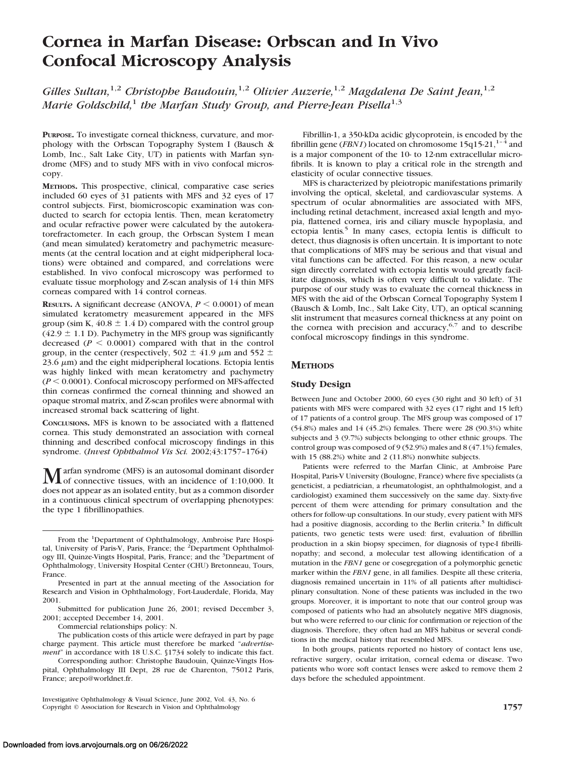# **Cornea in Marfan Disease: Orbscan and In Vivo Confocal Microscopy Analysis**

*Gilles Sultan,*1,2 *Christophe Baudouin,*1,2 *Olivier Auzerie,*1,2 *Magdalena De Saint Jean,*1,2 *Marie Goldschild*,<sup>1</sup> *the Marfan Study Group, and Pierre-Jean Pisella*<sup>1,3</sup>

**PURPOSE.** To investigate corneal thickness, curvature, and morphology with the Orbscan Topography System I (Bausch & Lomb, Inc., Salt Lake City, UT) in patients with Marfan syndrome (MFS) and to study MFS with in vivo confocal microscopy.

**METHODS.** This prospective, clinical, comparative case series included 60 eyes of 31 patients with MFS and 32 eyes of 17 control subjects. First, biomicroscopic examination was conducted to search for ectopia lentis. Then, mean keratometry and ocular refractive power were calculated by the autokeratorefractometer. In each group, the Orbscan System I mean (and mean simulated) keratometry and pachymetric measurements (at the central location and at eight midperipheral locations) were obtained and compared, and correlations were established. In vivo confocal microscopy was performed to evaluate tissue morphology and Z-scan analysis of 14 thin MFS corneas compared with 14 control corneas.

**RESULTS.** A significant decrease (ANOVA,  $P \le 0.0001$ ) of mean simulated keratometry measurement appeared in the MFS group (sim K,  $40.8 \pm 1.4$  D) compared with the control group  $(42.9 \pm 1.1 \text{ D})$ . Pachymetry in the MFS group was significantly decreased  $(P < 0.0001)$  compared with that in the control group, in the center (respectively, 502  $\pm$  41.9  $\mu$ m and 552  $\pm$  $23.6 \mu m$ ) and the eight midperipheral locations. Ectopia lentis was highly linked with mean keratometry and pachymetry  $(P < 0.0001)$ . Confocal microscopy performed on MFS-affected thin corneas confirmed the corneal thinning and showed an opaque stromal matrix, and Z-scan profiles were abnormal with increased stromal back scattering of light.

**CONCLUSIONS.** MFS is known to be associated with a flattened cornea. This study demonstrated an association with corneal thinning and described confocal microscopy findings in this syndrome. (*Invest Ophthalmol Vis Sci.* 2002;43:1757–1764)

Marfan syndrome (MFS) is an autosomal dominant disorder<br>of connective tissues, with an incidence of 1:10,000. It does not appear as an isolated entity, but as a common disorder in a continuous clinical spectrum of overlapping phenotypes: the type 1 fibrillinopathies.

Commercial relationships policy: N.

Corresponding author: Christophe Baudouin, Quinze-Vingts Hospital, Ophthalmology III Dept, 28 rue de Charenton, 75012 Paris, France; arepo@worldnet.fr.

Fibrillin-1, a 350-kDa acidic glycoprotein, is encoded by the fibrillin gene (*FBN1*) located on chromosome  $15q15-21$ ,<sup>1–4</sup> and is a major component of the 10- to 12-nm extracellular microfibrils. It is known to play a critical role in the strength and elasticity of ocular connective tissues.

MFS is characterized by pleiotropic manifestations primarily involving the optical, skeletal, and cardiovascular systems. A spectrum of ocular abnormalities are associated with MFS, including retinal detachment, increased axial length and myopia, flattened cornea, iris and ciliary muscle hypoplasia, and ectopia lentis*.* <sup>5</sup> In many cases, ectopia lentis is difficult to detect, thus diagnosis is often uncertain. It is important to note that complications of MFS may be serious and that visual and vital functions can be affected. For this reason, a new ocular sign directly correlated with ectopia lentis would greatly facilitate diagnosis, which is often very difficult to validate. The purpose of our study was to evaluate the corneal thickness in MFS with the aid of the Orbscan Corneal Topography System I (Bausch & Lomb, Inc., Salt Lake City, UT), an optical scanning slit instrument that measures corneal thickness at any point on the cornea with precision and accuracy,  $6,7$  and to describe confocal microscopy findings in this syndrome.

# **METHODS**

## **Study Design**

Between June and October 2000, 60 eyes (30 right and 30 left) of 31 patients with MFS were compared with 32 eyes (17 right and 15 left) of 17 patients of a control group. The MFS group was composed of 17 (54.8%) males and 14 (45.2%) females. There were 28 (90.3%) white subjects and 3 (9.7%) subjects belonging to other ethnic groups. The control group was composed of 9 (52.9%) males and 8 (47.1%) females, with 15 (88.2%) white and 2 (11.8%) nonwhite subjects.

Patients were referred to the Marfan Clinic, at Ambroise Pare Hospital, Paris-V University (Boulogne, France) where five specialists (a geneticist, a pediatrician, a rheumatologist, an ophthalmologist, and a cardiologist) examined them successively on the same day. Sixty-five percent of them were attending for primary consultation and the others for follow-up consultations. In our study, every patient with MFS had a positive diagnosis, according to the Berlin criteria.<sup>5</sup> In difficult patients, two genetic tests were used: first, evaluation of fibrillin production in a skin biopsy specimen, for diagnosis of type-I fibrillinopathy; and second, a molecular test allowing identification of a mutation in the *FBN1* gene or cosegregation of a polymorphic genetic marker within the *FBN1* gene, in all families. Despite all these criteria, diagnosis remained uncertain in 11% of all patients after multidisciplinary consultation. None of these patients was included in the two groups. Moreover, it is important to note that our control group was composed of patients who had an absolutely negative MFS diagnosis, but who were referred to our clinic for confirmation or rejection of the diagnosis. Therefore, they often had an MFS habitus or several conditions in the medical history that resembled MFS.

In both groups, patients reported no history of contact lens use, refractive surgery, ocular irritation, corneal edema or disease. Two patients who wore soft contact lenses were asked to remove them 2 days before the scheduled appointment.

From the <sup>1</sup>Department of Ophthalmology, Ambroise Pare Hospital, University of Paris-V, Paris, France; the <sup>2</sup>Department Ophthalmology III, Quinze-Vingts Hospital, Paris, France; and the <sup>3</sup>Department of Ophthalmology, University Hospital Center (CHU) Bretonneau, Tours, France.

Presented in part at the annual meeting of the Association for Research and Vision in Ophthalmology, Fort-Lauderdale, Florida, May 2001.

Submitted for publication June 26, 2001; revised December 3, 2001; accepted December 14, 2001.

The publication costs of this article were defrayed in part by page charge payment. This article must therefore be marked "*advertisement*" in accordance with 18 U.S.C. §1734 solely to indicate this fact.

Investigative Ophthalmology & Visual Science, June 2002, Vol. 43, No. 6 Copyright © Association for Research in Vision and Ophthalmology **1757**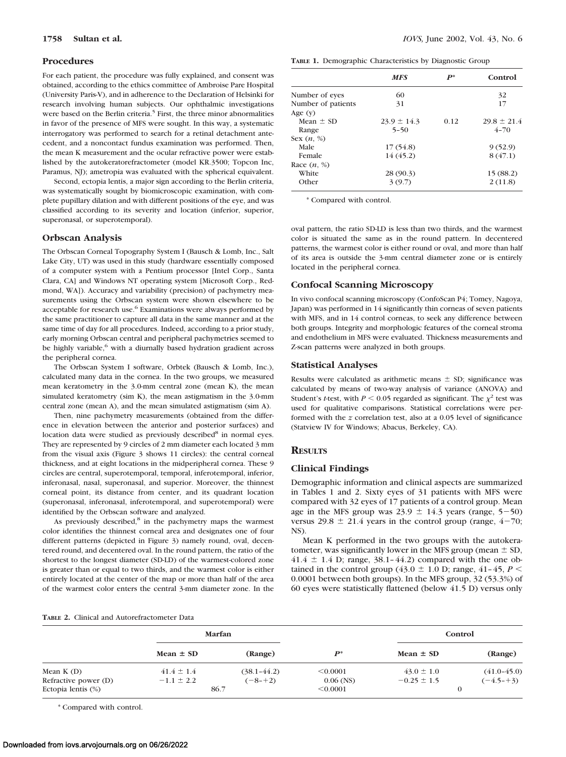#### **Procedures**

For each patient, the procedure was fully explained, and consent was obtained, according to the ethics committee of Ambroise Pare Hospital (University Paris-V), and in adherence to the Declaration of Helsinki for research involving human subjects. Our ophthalmic investigations were based on the Berlin criteria.<sup>5</sup> First, the three minor abnormalities in favor of the presence of MFS were sought. In this way, a systematic interrogatory was performed to search for a retinal detachment antecedent, and a noncontact fundus examination was performed. Then, the mean K measurement and the ocular refractive power were established by the autokeratorefractometer (model KR.3500; Topcon Inc, Paramus, NJ); ametropia was evaluated with the spherical equivalent.

Second, ectopia lentis, a major sign according to the Berlin criteria, was systematically sought by biomicroscopic examination, with complete pupillary dilation and with different positions of the eye, and was classified according to its severity and location (inferior, superior, superonasal, or superotemporal).

### **Orbscan Analysis**

The Orbscan Corneal Topography System I (Bausch & Lomb, Inc., Salt Lake City, UT) was used in this study (hardware essentially composed of a computer system with a Pentium processor [Intel Corp., Santa Clara, CA] and Windows NT operating system [Microsoft Corp., Redmond, WA]). Accuracy and variability (precision) of pachymetry measurements using the Orbscan system were shown elsewhere to be acceptable for research use.<sup>6</sup> Examinations were always performed by the same practitioner to capture all data in the same manner and at the same time of day for all procedures. Indeed, according to a prior study, early morning Orbscan central and peripheral pachymetries seemed to be highly variable,<sup>6</sup> with a diurnally based hydration gradient across the peripheral cornea.

The Orbscan System I software, Orbtek (Bausch & Lomb, Inc.), calculated many data in the cornea. In the two groups, we measured mean keratometry in the 3.0-mm central zone (mean K), the mean simulated keratometry (sim K), the mean astigmatism in the 3.0-mm central zone (mean A), and the mean simulated astigmatism (sim A).

Then, nine pachymetry measurements (obtained from the difference in elevation between the anterior and posterior surfaces) and location data were studied as previously described<sup>8</sup> in normal eyes. They are represented by 9 circles of 2 mm diameter each located 3 mm from the visual axis (Figure 3 shows 11 circles): the central corneal thickness, and at eight locations in the midperipheral cornea. These 9 circles are central, superotemporal, temporal, inferotemporal, inferior, inferonasal, nasal, superonasal, and superior. Moreover, the thinnest corneal point, its distance from center, and its quadrant location (superonasal, inferonasal, inferotemporal, and superotemporal) were identified by the Orbscan software and analyzed.

As previously described, $8$  in the pachymetry maps the warmest color identifies the thinnest corneal area and designates one of four different patterns (depicted in Figure 3) namely round, oval, decentered round, and decentered oval. In the round pattern, the ratio of the shortest to the longest diameter (SD-LD) of the warmest-colored zone is greater than or equal to two thirds, and the warmest color is either entirely located at the center of the map or more than half of the area of the warmest color enters the central 3-mm diameter zone. In the

**1758 Sultan et al.** *IOVS,* June 2002, Vol. 43, No. 6

|  | TABLE 1. Demographic Characteristics by Diagnostic Group |  |  |
|--|----------------------------------------------------------|--|--|
|  |                                                          |  |  |

|                    | <b>MFS</b>      | $P^*$ | Control         |
|--------------------|-----------------|-------|-----------------|
| Number of eyes     | 60              |       | 32              |
| Number of patients | 31              |       | 17              |
| Age $(v)$          |                 |       |                 |
| Mean $\pm$ SD      | $23.9 \pm 14.3$ | 0.12  | $29.8 \pm 21.4$ |
| Range              | $5 - 50$        |       | $4 - 70$        |
| Sex $(n, %)$       |                 |       |                 |
| Male               | 17(54.8)        |       | 9(52.9)         |
| Female             | 14(45.2)        |       | 8(47.1)         |
| Race $(n, %)$      |                 |       |                 |
| White              | 28 (90.3)       |       | 15(88.2)        |
| Other              | 3(9.7)          |       | 2(11.8)         |

\* Compared with control.

oval pattern, the ratio SD-LD is less than two thirds, and the warmest color is situated the same as in the round pattern. In decentered patterns, the warmest color is either round or oval, and more than half of its area is outside the 3-mm central diameter zone or is entirely located in the peripheral cornea.

### **Confocal Scanning Microscopy**

In vivo confocal scanning microscopy (ConfoScan P4; Tomey, Nagoya, Japan) was performed in 14 significantly thin corneas of seven patients with MFS, and in 14 control corneas, to seek any difference between both groups. Integrity and morphologic features of the corneal stroma and endothelium in MFS were evaluated. Thickness measurements and Z-scan patterns were analyzed in both groups.

#### **Statistical Analyses**

Results were calculated as arithmetic means  $\pm$  SD; significance was calculated by means of two-way analysis of variance (ANOVA) and Student's *t*-test, with  $P \le 0.05$  regarded as significant. The  $\chi^2$  test was used for qualitative comparisons. Statistical correlations were performed with the *z* correlation test, also at a 0.05 level of significance (Statview IV for Windows; Abacus, Berkeley, CA).

## **RESULTS**

#### **Clinical Findings**

Demographic information and clinical aspects are summarized in Tables 1 and 2. Sixty eyes of 31 patients with MFS were compared with 32 eyes of 17 patients of a control group. Mean age in the MFS group was  $23.9 \pm 14.3$  years (range,  $5-50$ ) versus  $29.8 \pm 21.4$  years in the control group (range,  $4-70$ ; NS).

Mean K performed in the two groups with the autokeratometer, was significantly lower in the MFS group (mean  $\pm$  SD,  $41.4 \pm 1.4$  D; range,  $38.1 - 44.2$ ) compared with the one obtained in the control group (43.0  $\pm$  1.0 D; range, 41-45, *P* < 0.0001 between both groups). In the MFS group, 32 (53.3%) of 60 eyes were statistically flattened (below 41.5 D) versus only

### **TABLE 2.** Clinical and Autorefractometer Data

|                      | Marfan         |                 |                    | Control         |                 |
|----------------------|----------------|-----------------|--------------------|-----------------|-----------------|
|                      | Mean $\pm$ SD  | (Range)         | $\boldsymbol{P^*}$ | Mean $\pm$ SD   | (Range)         |
| Mean $K(D)$          | $41.4 \pm 1.4$ | $(38.1 - 44.2)$ | < 0.0001           | $43.0 \pm 1.0$  | $(41.0 - 45.0)$ |
| Refractive power (D) | $-1.1 \pm 2.2$ | $(-8-+2)$       | $0.06$ (NS)        | $-0.25 \pm 1.5$ | $(-4.5 - +3)$   |
| Ectopia lentis (%)   | 86.7           |                 | < 0.0001           |                 | $\Omega$        |

\* Compared with control.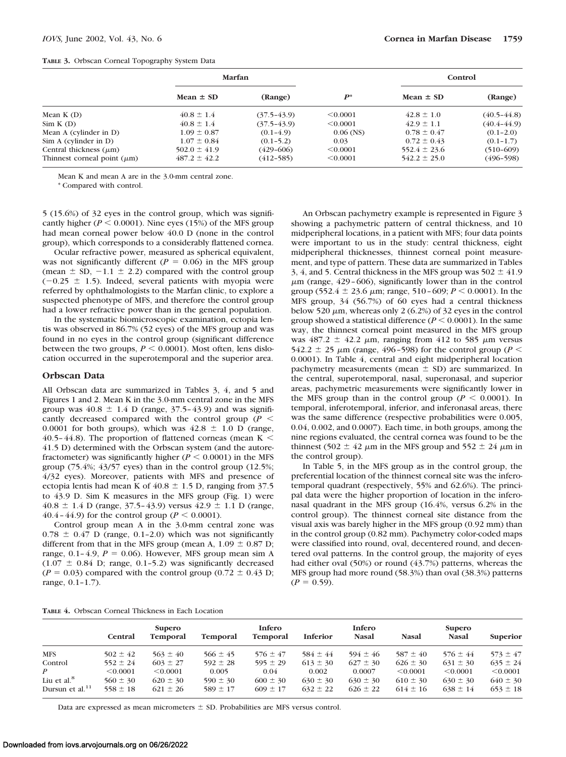|  |  |  | TABLE 3. Orbscan Corneal Topography System Data |  |  |
|--|--|--|-------------------------------------------------|--|--|
|--|--|--|-------------------------------------------------|--|--|

|                                  | Marfan           |                 |             | Control          |                 |  |
|----------------------------------|------------------|-----------------|-------------|------------------|-----------------|--|
|                                  | Mean $\pm$ SD    | (Range)         | $P^*$       | Mean $\pm$ SD    | (Range)         |  |
| Mean $K(D)$                      | $40.8 \pm 1.4$   | $(37.5-43.9)$   | < 0.0001    | $42.8 \pm 1.0$   | $(40.5 - 44.8)$ |  |
| Sim K (D)                        | $40.8 \pm 1.4$   | $(37.5 - 43.9)$ | < 0.0001    | $42.9 \pm 1.1$   | $(40.4 - 44.9)$ |  |
| Mean A (cylinder in D)           | $1.09 \pm 0.87$  | $(0.1-4.9)$     | $0.06$ (NS) | $0.78 \pm 0.47$  | $(0.1 - 2.0)$   |  |
| Sim A (cylinder in D)            | $1.07 \pm 0.84$  | $(0.1 - 5.2)$   | 0.03        | $0.72 \pm 0.43$  | $(0.1-1.7)$     |  |
| Central thickness $(\mu m)$      | $502.0 \pm 41.9$ | $(429 - 606)$   | < 0.0001    | $552.4 \pm 23.6$ | $(510-609)$     |  |
| Thinnest corneal point $(\mu m)$ | $487.2 \pm 42.2$ | $(412 - 585)$   | < 0.0001    | $542.2 \pm 25.0$ | $(496 - 598)$   |  |

Mean K and mean A are in the 3.0-mm central zone.

\* Compared with control.

5 (15.6%) of 32 eyes in the control group, which was significantly higher ( $P \le 0.0001$ ). Nine eyes (15%) of the MFS group had mean corneal power below 40.0 D (none in the control group), which corresponds to a considerably flattened cornea.

Ocular refractive power, measured as spherical equivalent, was not significantly different ( $P = 0.06$ ) in the MFS group (mean  $\pm$  SD,  $-1.1 \pm 2.2$ ) compared with the control group  $(-0.25 \pm 1.5)$ . Indeed, several patients with myopia were referred by ophthalmologists to the Marfan clinic, to explore a suspected phenotype of MFS, and therefore the control group had a lower refractive power than in the general population.

In the systematic biomicroscopic examination, ectopia lentis was observed in 86.7% (52 eyes) of the MFS group and was found in no eyes in the control group (significant difference between the two groups,  $P \leq 0.0001$ ). Most often, lens dislocation occurred in the superotemporal and the superior area.

#### **Orbscan Data**

All Orbscan data are summarized in Tables 3, 4, and 5 and Figures 1 and 2. Mean K in the 3.0-mm central zone in the MFS group was  $40.8 \pm 1.4$  D (range, 37.5-43.9) and was significantly decreased compared with the control group ( $P \leq$ 0.0001 for both groups), which was  $42.8 \pm 1.0$  D (range, 40.5–44.8). The proportion of flattened corneas (mean  $K <$ 41.5 D) determined with the Orbscan system (and the autorefractometer) was significantly higher ( $P \le 0.0001$ ) in the MFS group  $(75.4\%; 43/57$  eyes) than in the control group  $(12.5\%;$ 4/32 eyes). Moreover, patients with MFS and presence of ectopia lentis had mean K of  $40.8 \pm 1.5$  D, ranging from 37.5 to 43.9 D. Sim K measures in the MFS group (Fig. 1) were  $40.8 \pm 1.4$  D (range, 37.5–43.9) versus  $42.9 \pm 1.1$  D (range, 40.4–44.9) for the control group ( $P < 0.0001$ ).

Control group mean A in the 3.0-mm central zone was  $0.78 \pm 0.47$  D (range, 0.1-2.0) which was not significantly different from that in the MFS group (mean A,  $1.09 \pm 0.87$  D; range,  $0.1-4.9$ ,  $P = 0.06$ ). However, MFS group mean sim A  $(1.07 \pm 0.84 \text{ D})$ ; range, 0.1-5.2) was significantly decreased  $(P = 0.03)$  compared with the control group  $(0.72 \pm 0.43)$ . range, 0.1–1.7).

An Orbscan pachymetry example is represented in Figure 3 showing a pachymetric pattern of central thickness, and 10 midperipheral locations, in a patient with MFS; four data points were important to us in the study: central thickness, eight midperipheral thicknesses, thinnest corneal point measurement, and type of pattern. These data are summarized in Tables 3, 4, and 5. Central thickness in the MFS group was  $502 \pm 41.9$  $\mu$ m (range, 429–606), significantly lower than in the control group (552.4  $\pm$  23.6  $\mu$ m; range, 510 – 609; *P* < 0.0001). In the MFS group, 34 (56.7%) of 60 eyes had a central thickness below 520  $\mu$ m, whereas only 2 (6.2%) of 32 eyes in the control group showed a statistical difference  $(P \le 0.0001)$ . In the same way, the thinnest corneal point measured in the MFS group was  $487.2 \pm 42.2 \mu m$ , ranging from 412 to 585  $\mu$ m versus 542.2  $\pm$  25  $\mu$ m (range, 496-598) for the control group (*P* < 0.0001). In Table 4, central and eight midperipheral location pachymetry measurements (mean  $\pm$  SD) are summarized. In the central, superotemporal, nasal, superonasal, and superior areas, pachymetric measurements were significantly lower in the MFS group than in the control group ( $P < 0.0001$ ). In temporal, inferotemporal, inferior, and inferonasal areas, there was the same difference (respective probabilities were 0.005, 0.04, 0.002, and 0.0007). Each time, in both groups, among the nine regions evaluated, the central cornea was found to be the thinnest (502  $\pm$  42  $\mu$ m in the MFS group and 552  $\pm$  24  $\mu$ m in the control group).

In Table 5, in the MFS group as in the control group, the preferential location of the thinnest corneal site was the inferotemporal quadrant (respectively, 55% and 62.6%). The principal data were the higher proportion of location in the inferonasal quadrant in the MFS group (16.4%, versus 6.2% in the control group). The thinnest corneal site distance from the visual axis was barely higher in the MFS group (0.92 mm) than in the control group (0.82 mm). Pachymetry color-coded maps were classified into round, oval, decentered round, and decentered oval patterns. In the control group, the majority of eyes had either oval (50%) or round (43.7%) patterns, whereas the MFS group had more round (58.3%) than oval (38.3%) patterns  $(P = 0.59)$ .

|  |  |  | TABLE 4. Orbscan Corneal Thickness in Each Location |  |  |  |
|--|--|--|-----------------------------------------------------|--|--|--|
|--|--|--|-----------------------------------------------------|--|--|--|

|                                                  | Central                      | Supero<br><b>Temporal</b>    | <b>Temporal</b>              | Infero<br><b>Temporal</b>    | Inferior                     | Infero<br><b>Nasal</b>       | <b>Nasal</b>                 | Supero<br><b>Nasal</b>       | <b>Superior</b>              |
|--------------------------------------------------|------------------------------|------------------------------|------------------------------|------------------------------|------------------------------|------------------------------|------------------------------|------------------------------|------------------------------|
| <b>MFS</b>                                       | $502 \pm 42$                 | $563 \pm 40$                 | $566 \pm 45$                 | $576 \pm 47$                 | $584 \pm 44$                 | $594 \pm 46$                 | $587 \pm 40$                 | $576 \pm 44$                 | $573 \pm 47$                 |
| Control                                          | $552 \pm 24$                 | $603 \pm 27$                 | $592 \pm 28$                 | $595 \pm 29$                 | $613 \pm 30$                 | $627 \pm 30$                 | $626 \pm 30$                 | $631 \pm 30$                 | $635 \pm 24$                 |
| $\boldsymbol{P}$                                 | < 0.0001                     | < 0.0001                     | 0.005                        | 0.04                         | 0.002                        | 0.0007                       | < 0.0001                     | < 0.0001                     | < 0.0001                     |
| Liu et al. <sup>8</sup><br>Dursun et al. $^{11}$ | $560 \pm 30$<br>$558 \pm 18$ | $620 \pm 30$<br>$621 \pm 26$ | $590 \pm 30$<br>$589 \pm 17$ | $600 \pm 30$<br>$609 \pm 17$ | $630 \pm 30$<br>$632 \pm 22$ | $630 \pm 30$<br>$626 \pm 22$ | $610 \pm 30$<br>$614 \pm 16$ | $630 \pm 30$<br>$638 \pm 14$ | $640 \pm 30$<br>$653 \pm 18$ |

Data are expressed as mean micrometers  $\pm$  SD. Probabilities are MFS versus control.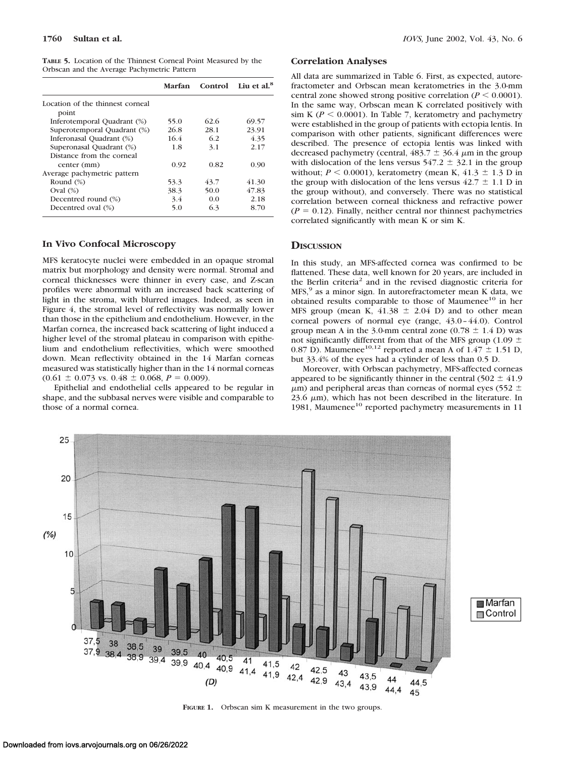| <b>TABLE 5.</b> Location of the Thinnest Corneal Point Measured by the |  |  |  |
|------------------------------------------------------------------------|--|--|--|
| Orbscan and the Average Pachymetric Pattern                            |  |  |  |

|                                  | Marfan | Control | Lin et al. $8$ |
|----------------------------------|--------|---------|----------------|
| Location of the thinnest corneal |        |         |                |
| point                            |        |         |                |
| Inferotemporal Quadrant (%)      | 55.0   | 62.6    | 69.57          |
| Superotemporal Quadrant (%)      | 26.8   | 28.1    | 23.91          |
| Inferonasal Quadrant (%)         | 16.4   | 62      | 4.35           |
| Superonasal Quadrant (%)         | 1.8    | 3.1     | 2.17           |
| Distance from the corneal        |        |         |                |
| center (mm)                      | 0.92   | 0.82    | 0.90           |
| Average pachymetric pattern      |        |         |                |
| Round $(\%)$                     | 53.3   | 43.7    | 41.30          |
| Oval $(\%)$                      | 38.3   | 50.0    | 47.83          |
| Decentred round (%)              | 3.4    | 0.0     | 2.18           |
| Decentred oval (%)               | 5.0    | 6.3     | 8.70           |

### **In Vivo Confocal Microscopy**

MFS keratocyte nuclei were embedded in an opaque stromal matrix but morphology and density were normal. Stromal and corneal thicknesses were thinner in every case, and Z-scan profiles were abnormal with an increased back scattering of light in the stroma, with blurred images. Indeed, as seen in Figure 4, the stromal level of reflectivity was normally lower than those in the epithelium and endothelium. However, in the Marfan cornea, the increased back scattering of light induced a higher level of the stromal plateau in comparison with epithelium and endothelium reflectivities, which were smoothed down. Mean reflectivity obtained in the 14 Marfan corneas measured was statistically higher than in the 14 normal corneas  $(0.61 \pm 0.073 \text{ vs. } 0.48 \pm 0.068, P = 0.009).$ 

Epithelial and endothelial cells appeared to be regular in shape, and the subbasal nerves were visible and comparable to those of a normal cornea.

## **Correlation Analyses**

All data are summarized in Table 6. First, as expected, autorefractometer and Orbscan mean keratometries in the 3.0-mm central zone showed strong positive correlation ( $P \le 0.0001$ ). In the same way, Orbscan mean K correlated positively with sim K ( $P < 0.0001$ ). In Table 7, keratometry and pachymetry were established in the group of patients with ectopia lentis. In comparison with other patients, significant differences were described. The presence of ectopia lentis was linked with decreased pachymetry (central,  $483.7 \pm 36.4 \mu$ m in the group with dislocation of the lens versus  $547.2 \pm 32.1$  in the group without;  $P \le 0.0001$ ), keratometry (mean K,  $41.3 \pm 1.3$  D in the group with dislocation of the lens versus  $42.7 \pm 1.1$  D in the group without), and conversely. There was no statistical correlation between corneal thickness and refractive power  $(P = 0.12)$ . Finally, neither central nor thinnest pachymetries correlated significantly with mean K or sim K.

# **DISCUSSION**

In this study, an MFS-affected cornea was confirmed to be flattened. These data, well known for 20 years, are included in the Berlin criteria<sup>2</sup> and in the revised diagnostic criteria for MFS,<sup>9</sup> as a minor sign. In autorefractometer mean K data, we obtained results comparable to those of Maumenee<sup>10</sup> in her MFS group (mean K,  $41.38 \pm 2.04$  D) and to other mean corneal powers of normal eye (range, 43.0–44.0). Control group mean A in the 3.0-mm central zone  $(0.78 \pm 1.4 \text{ D})$  was not significantly different from that of the MFS group (1.09  $\pm$ 0.87 D). Maumenee<sup>10,12</sup> reported a mean A of  $1.47 \pm 1.51$  D, but 33.4% of the eyes had a cylinder of less than 0.5 D.

Moreover, with Orbscan pachymetry, MFS-affected corneas appeared to be significantly thinner in the central  $(502 \pm 41.9)$  $\mu$ m) and peripheral areas than corneas of normal eyes (552  $\pm$  $23.6 \mu m$ ), which has not been described in the literature. In 1981, Maumenee<sup>10</sup> reported pachymetry measurements in 11



**FIGURE 1.** Orbscan sim K measurement in the two groups.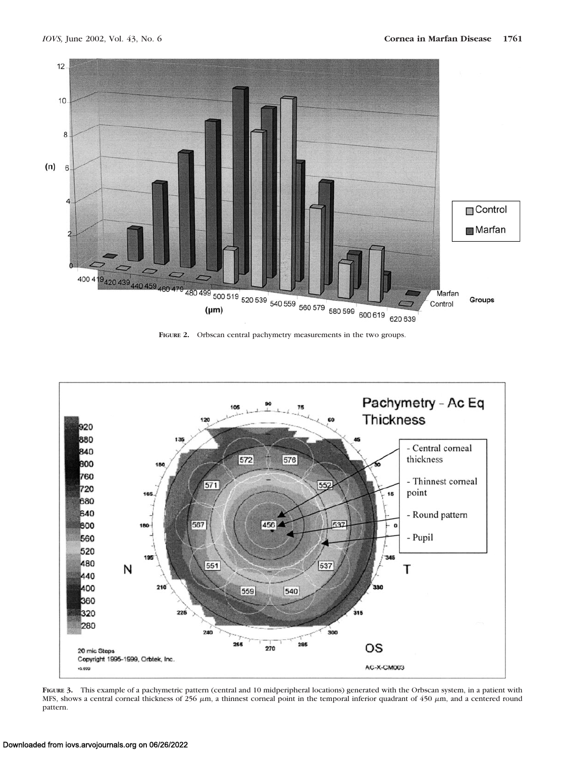

**FIGURE 2.** Orbscan central pachymetry measurements in the two groups.



**FIGURE 3.** This example of a pachymetric pattern (central and 10 midperipheral locations) generated with the Orbscan system, in a patient with MFS, shows a central corneal thickness of 256  $\mu$ m, a thinnest corneal point in the temporal inferior quadrant of 450  $\mu$ m, and a centered round pattern.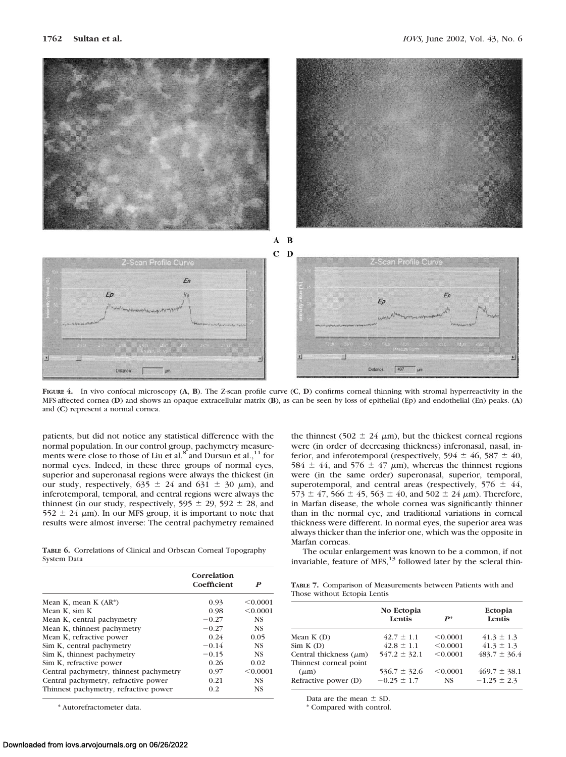

**FIGURE 4.** In vivo confocal microscopy (**A**, **B**). The Z-scan profile curve (**C**, **D**) confirms corneal thinning with stromal hyperreactivity in the MFS-affected cornea (**D**) and shows an opaque extracellular matrix (**B**), as can be seen by loss of epithelial (Ep) and endothelial (En) peaks. (**A**) and (**C**) represent a normal cornea.

patients, but did not notice any statistical difference with the normal population. In our control group, pachymetry measurements were close to those of Liu et al.<sup>8</sup> and Dursun et al.,<sup>11</sup> for normal eyes. Indeed, in these three groups of normal eyes, superior and superonasal regions were always the thickest (in our study, respectively,  $635 \pm 24$  and  $631 \pm 30$   $\mu$ m), and inferotemporal, temporal, and central regions were always the thinnest (in our study, respectively,  $595 \pm 29$ ,  $592 \pm 28$ , and  $552 \pm 24$   $\mu$ m). In our MFS group, it is important to note that results were almost inverse: The central pachymetry remained

**TABLE 6.** Correlations of Clinical and Orbscan Corneal Topography System Data

|                                         | Correlation<br>Coefficient | P         |
|-----------------------------------------|----------------------------|-----------|
| Mean K, mean K $(AR^*)$                 | 0.93                       | < 0.0001  |
| Mean K, sim K                           | 0.98                       | < 0.0001  |
| Mean K, central pachymetry              | $-0.27$                    | <b>NS</b> |
| Mean K, thinnest pachymetry             | $-0.27$                    | <b>NS</b> |
| Mean K, refractive power                | 0.24                       | 0.05      |
| Sim K, central pachymetry               | $-0.14$                    | <b>NS</b> |
| Sim K, thinnest pachymetry              | $-0.15$                    | <b>NS</b> |
| Sim K, refractive power                 | 0.26                       | 0.02      |
| Central pachymetry, thinnest pachymetry | 0.97                       | < 0.0001  |
| Central pachymetry, refractive power    | 0.21                       | <b>NS</b> |
| Thinnest pachymetry, refractive power   | 0.2                        | <b>NS</b> |

\* Autorefractometer data.

the thinnest (502  $\pm$  24  $\mu$ m), but the thickest corneal regions were (in order of decreasing thickness) inferonasal, nasal, inferior, and inferotemporal (respectively,  $594 \pm 46$ ,  $587 \pm 40$ , 584  $\pm$  44, and 576  $\pm$  47  $\mu$ m), whereas the thinnest regions were (in the same order) superonasal, superior, temporal, superotemporal, and central areas (respectively,  $576 \pm 44$ ,  $573 \pm 47$ ,  $566 \pm 45$ ,  $563 \pm 40$ , and  $502 \pm 24$   $\mu$ m). Therefore, in Marfan disease, the whole cornea was significantly thinner than in the normal eye, and traditional variations in corneal thickness were different. In normal eyes, the superior area was always thicker than the inferior one, which was the opposite in Marfan corneas.

The ocular enlargement was known to be a common, if not invariable, feature of  $MFS$ ,<sup>13</sup> followed later by the scleral thin-

**TABLE 7.** Comparison of Measurements between Patients with and Those without Ectopia Lentis

| No Ectopia<br>Lentis                | $P^*$                 | Ectopia<br>Lentis                   |
|-------------------------------------|-----------------------|-------------------------------------|
| $42.7 \pm 1.1$                      | < 0.0001              | $41.3 \pm 1.3$                      |
| $42.8 \pm 1.1$                      | < 0.0001              | $41.3 \pm 1.3$                      |
| $547.2 \pm 32.1$                    | < 0.0001              | $483.7 \pm 36.4$                    |
| $536.7 \pm 32.6$<br>$-0.25 \pm 1.7$ | < 0.0001<br><b>NS</b> | $469.7 \pm 38.1$<br>$-1.25 \pm 2.3$ |
|                                     |                       |                                     |

Data are the mean  $\pm$  SD.

\* Compared with control.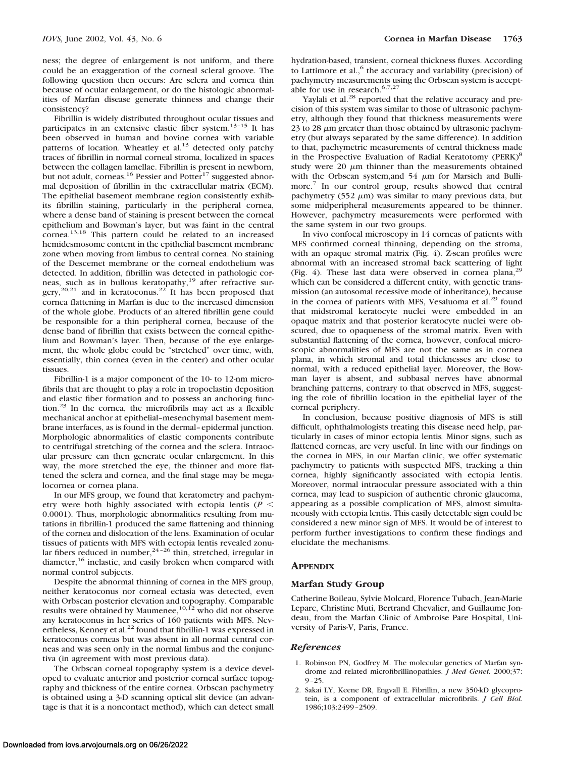ness; the degree of enlargement is not uniform, and there could be an exaggeration of the corneal scleral groove. The following question then occurs: Are sclera and cornea thin because of ocular enlargement, or do the histologic abnormalities of Marfan disease generate thinness and change their consistency?

Fibrillin is widely distributed throughout ocular tissues and participates in an extensive elastic fiber system.<sup>13-15</sup> It has been observed in human and bovine cornea with variable patterns of location. Wheatley et al.<sup>13</sup> detected only patchy traces of fibrillin in normal corneal stroma, localized in spaces between the collagen lamellae. Fibrillin is present in newborn, but not adult, corneas.<sup>16</sup> Pessier and Potter<sup>17</sup> suggested abnormal deposition of fibrillin in the extracellular matrix (ECM). The epithelial basement membrane region consistently exhibits fibrillin staining, particularly in the peripheral cornea, where a dense band of staining is present between the corneal epithelium and Bowman's layer, but was faint in the central cornea.13,18 This pattern could be related to an increased hemidesmosome content in the epithelial basement membrane zone when moving from limbus to central cornea. No staining of the Descemet membrane or the corneal endothelium was detected. In addition, fibrillin was detected in pathologic corneas, such as in bullous keratopathy,<sup>19</sup> after refractive surgery,<sup>20,21</sup> and in keratoconus.<sup>22</sup> It has been proposed that cornea flattening in Marfan is due to the increased dimension of the whole globe. Products of an altered fibrillin gene could be responsible for a thin peripheral cornea, because of the dense band of fibrillin that exists between the corneal epithelium and Bowman's layer. Then, because of the eye enlargement, the whole globe could be "stretched" over time, with, essentially, thin cornea (even in the center) and other ocular tissues.

Fibrillin-1 is a major component of the 10- to 12-nm microfibrils that are thought to play a role in tropoelastin deposition and elastic fiber formation and to possess an anchoring function. $23$  In the cornea, the microfibrils may act as a flexible mechanical anchor at epithelial–mesenchymal basement membrane interfaces, as is found in the dermal–epidermal junction. Morphologic abnormalities of elastic components contribute to centrifugal stretching of the cornea and the sclera. Intraocular pressure can then generate ocular enlargement. In this way, the more stretched the eye, the thinner and more flattened the sclera and cornea, and the final stage may be megalocornea or cornea plana.

In our MFS group, we found that keratometry and pachymetry were both highly associated with ectopia lentis (*P* 0.0001). Thus, morphologic abnormalities resulting from mutations in fibrillin-1 produced the same flattening and thinning of the cornea and dislocation of the lens. Examination of ocular tissues of patients with MFS with ectopia lentis revealed zonu-<br>lar fibers reduced in number,<sup>24-26</sup> thin, stretched, irregular in diameter,<sup>16</sup> inelastic, and easily broken when compared with normal control subjects.

Despite the abnormal thinning of cornea in the MFS group, neither keratoconus nor corneal ectasia was detected, even with Orbscan posterior elevation and topography. Comparable results were obtained by Maumenee,  $10,12$  who did not observe any keratoconus in her series of 160 patients with MFS. Nevertheless, Kenney et al.<sup>22</sup> found that fibrillin-1 was expressed in keratoconus corneas but was absent in all normal central corneas and was seen only in the normal limbus and the conjunctiva (in agreement with most previous data).

The Orbscan corneal topography system is a device developed to evaluate anterior and posterior corneal surface topography and thickness of the entire cornea. Orbscan pachymetry is obtained using a 3-D scanning optical slit device (an advantage is that it is a noncontact method), which can detect small hydration-based, transient, corneal thickness fluxes. According to Lattimore et al., $<sup>6</sup>$  the accuracy and variability (precision) of</sup> pachymetry measurements using the Orbscan system is acceptable for use in research.6,7,27

Yaylali et al.<sup>28</sup> reported that the relative accuracy and precision of this system was similar to those of ultrasonic pachymetry, although they found that thickness measurements were 23 to 28  $\mu$ m greater than those obtained by ultrasonic pachymetry (but always separated by the same difference). In addition to that, pachymetric measurements of central thickness made in the Prospective Evaluation of Radial Keratotomy (PERK)<sup>8</sup> study were  $20 \mu m$  thinner than the measurements obtained with the Orbscan system, and  $54 \mu m$  for Marsich and Bullimore.7 In our control group, results showed that central pachymetry (552  $\mu$ m) was similar to many previous data, but some midperipheral measurements appeared to be thinner. However, pachymetry measurements were performed with the same system in our two groups.

In vivo confocal microscopy in 14 corneas of patients with MFS confirmed corneal thinning, depending on the stroma, with an opaque stromal matrix (Fig. 4). Z-scan profiles were abnormal with an increased stromal back scattering of light (Fig. 4). These last data were observed in cornea plana, $2$ which can be considered a different entity, with genetic transmission (an autosomal recessive mode of inheritance), because in the cornea of patients with MFS, Vesaluoma et al.<sup>29</sup> found that midstromal keratocyte nuclei were embedded in an opaque matrix and that posterior keratocyte nuclei were obscured, due to opaqueness of the stromal matrix. Even with substantial flattening of the cornea, however, confocal microscopic abnormalities of MFS are not the same as in cornea plana, in which stromal and total thicknesses are close to normal, with a reduced epithelial layer. Moreover, the Bowman layer is absent, and subbasal nerves have abnormal branching patterns, contrary to that observed in MFS, suggesting the role of fibrillin location in the epithelial layer of the corneal periphery.

In conclusion, because positive diagnosis of MFS is still difficult, ophthalmologists treating this disease need help, particularly in cases of minor ectopia lentis*.* Minor signs, such as flattened corneas, are very useful. In line with our findings on the cornea in MFS, in our Marfan clinic, we offer systematic pachymetry to patients with suspected MFS, tracking a thin cornea, highly significantly associated with ectopia lentis. Moreover, normal intraocular pressure associated with a thin cornea, may lead to suspicion of authentic chronic glaucoma, appearing as a possible complication of MFS, almost simultaneously with ectopia lentis. This easily detectable sign could be considered a new minor sign of MFS. It would be of interest to perform further investigations to confirm these findings and elucidate the mechanisms.

#### **APPENDIX**

#### **Marfan Study Group**

Catherine Boileau, Sylvie Molcard, Florence Tubach, Jean-Marie Leparc, Christine Muti, Bertrand Chevalier, and Guillaume Jondeau, from the Marfan Clinic of Ambroise Pare Hospital, University of Paris-V, Paris, France.

#### *References*

- 1. Robinson PN, Godfrey M. The molecular genetics of Marfan syndrome and related microfibrillinopathies. *J Med Genet.* 2000;37: 9–25.
- 2. Sakai LY, Keene DR, Engvall E. Fibrillin, a new 350-kD glycoprotein, is a component of extracellular microfibrils. *J Cell Biol.* 1986;103:2499–2509.